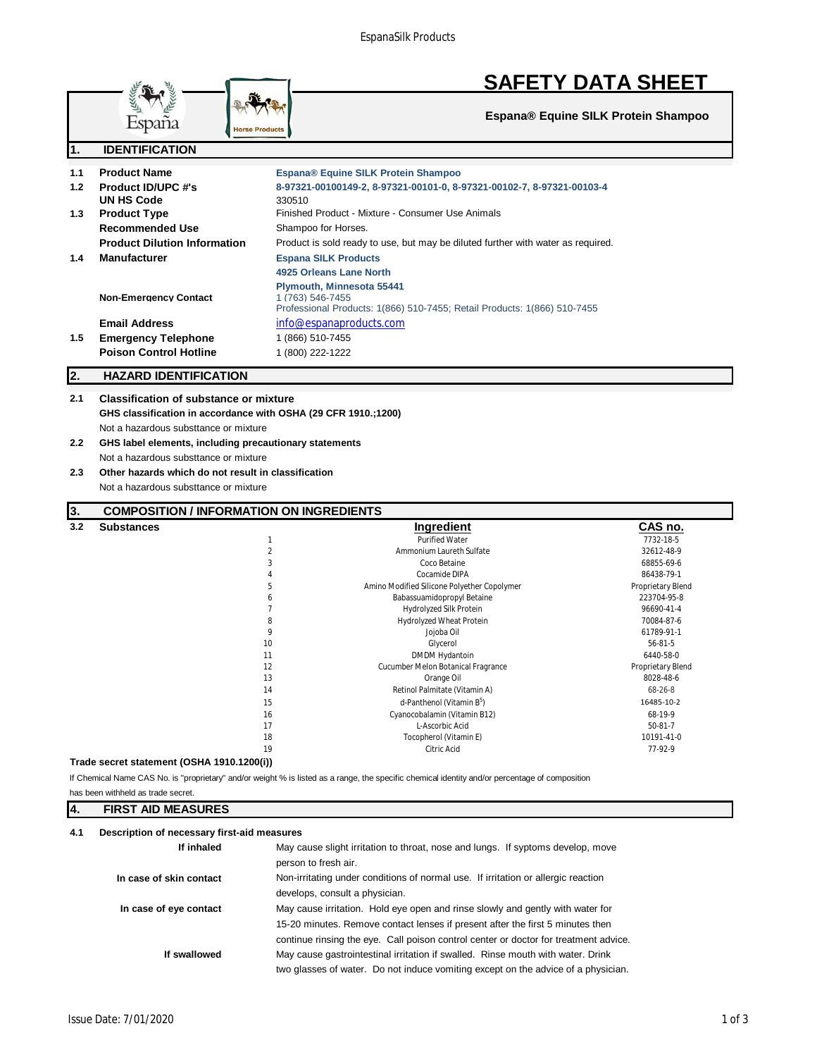

**Espana® Equine SILK Protein Shampoo**

|                                                               | T<br><b>HOISE LIQUANG</b>                                      |                                                                                                                                                 |                                  |
|---------------------------------------------------------------|----------------------------------------------------------------|-------------------------------------------------------------------------------------------------------------------------------------------------|----------------------------------|
| $\overline{\mathbf{1}}$ .                                     | <b>IDENTIFICATION</b>                                          |                                                                                                                                                 |                                  |
| 1.1                                                           | <b>Product Name</b>                                            | Espana® Equine SILK Protein Shampoo                                                                                                             |                                  |
| 1.2                                                           | <b>Product ID/UPC #'s</b><br><b>UN HS Code</b>                 | 8-97321-00100149-2, 8-97321-00101-0, 8-97321-00102-7, 8-97321-00103-4<br>330510                                                                 |                                  |
| 1.3                                                           | <b>Product Type</b>                                            | Finished Product - Mixture - Consumer Use Animals                                                                                               |                                  |
|                                                               | <b>Recommended Use</b>                                         | Shampoo for Horses.                                                                                                                             |                                  |
|                                                               | <b>Product Dilution Information</b>                            | Product is sold ready to use, but may be diluted further with water as required.                                                                |                                  |
| 1.4                                                           | <b>Manufacturer</b>                                            | <b>Espana SILK Products</b>                                                                                                                     |                                  |
|                                                               |                                                                | 4925 Orleans Lane North                                                                                                                         |                                  |
|                                                               | <b>Non-Emergency Contact</b>                                   | Plymouth, Minnesota 55441<br>1 (763) 546-7455<br>Professional Products: 1(866) 510-7455; Retail Products: 1(866) 510-7455                       |                                  |
|                                                               | <b>Email Address</b>                                           | info@espanaproducts.com                                                                                                                         |                                  |
| 1.5                                                           | <b>Emergency Telephone</b>                                     | 1 (866) 510-7455                                                                                                                                |                                  |
|                                                               | <b>Poison Control Hotline</b>                                  | 1 (800) 222-1222                                                                                                                                |                                  |
| 2.                                                            | <b>HAZARD IDENTIFICATION</b>                                   |                                                                                                                                                 |                                  |
| 2.1                                                           | <b>Classification of substance or mixture</b>                  |                                                                                                                                                 |                                  |
|                                                               | GHS classification in accordance with OSHA (29 CFR 1910.;1200) |                                                                                                                                                 |                                  |
|                                                               | Not a hazardous substtance or mixture                          |                                                                                                                                                 |                                  |
| 2.2<br>GHS label elements, including precautionary statements |                                                                |                                                                                                                                                 |                                  |
| Not a hazardous substtance or mixture                         |                                                                |                                                                                                                                                 |                                  |
| Other hazards which do not result in classification<br>2.3    |                                                                |                                                                                                                                                 |                                  |
|                                                               | Not a hazardous substtance or mixture                          |                                                                                                                                                 |                                  |
| 3.                                                            | <b>COMPOSITION / INFORMATION ON INGREDIENTS</b>                |                                                                                                                                                 |                                  |
| 3.2                                                           | <b>Substances</b>                                              | Ingredient                                                                                                                                      | C <u>AS no.</u>                  |
|                                                               |                                                                | 1<br><b>Purified Water</b>                                                                                                                      | 7732-18-5                        |
|                                                               |                                                                | $\overline{a}$<br>Ammonium Laureth Sulfate                                                                                                      | 32612-48-9                       |
|                                                               |                                                                | 3<br>Coco Betaine                                                                                                                               | 68855-69-6                       |
|                                                               |                                                                | Cocamide DIPA<br>4                                                                                                                              | 86438-79-1                       |
|                                                               |                                                                | 5<br>Amino Modified Silicone Polyether Copolymer<br>Babassuamidopropyl Betaine<br>6                                                             | Proprietary Blend<br>223704-95-8 |
|                                                               |                                                                | $\overline{7}$<br>Hydrolyzed Silk Protein                                                                                                       | 96690-41-4                       |
|                                                               |                                                                | 8<br>Hydrolyzed Wheat Protein                                                                                                                   | 70084-87-6                       |
|                                                               |                                                                | 9<br>Jojoba Oil                                                                                                                                 | 61789-91-1                       |
|                                                               |                                                                | 10<br>Glycerol                                                                                                                                  | 56-81-5                          |
|                                                               |                                                                | <b>DMDM Hydantoin</b><br>11                                                                                                                     | 6440-58-0                        |
|                                                               |                                                                | 12<br>Cucumber Melon Botanical Fragrance                                                                                                        | Proprietary Blend                |
|                                                               |                                                                | Orange Oil<br>13                                                                                                                                | 8028-48-6                        |
|                                                               |                                                                | 14<br>Retinol Palmitate (Vitamin A)                                                                                                             | 68-26-8                          |
|                                                               |                                                                | d-Panthenol (Vitamin B <sup>5</sup> )<br>15                                                                                                     | 16485-10-2                       |
|                                                               |                                                                | Cyanocobalamin (Vitamin B12)<br>16                                                                                                              | 68-19-9                          |
|                                                               |                                                                | L-Ascorbic Acid<br>17                                                                                                                           | 50-81-7                          |
|                                                               |                                                                | 18<br>Tocopherol (Vitamin E)                                                                                                                    | 10191-41-0                       |
|                                                               |                                                                | Citric Acid<br>19                                                                                                                               | 77-92-9                          |
|                                                               | Trade secret statement (OSHA 1910.1200(i))                     |                                                                                                                                                 |                                  |
|                                                               |                                                                | If Chemical Name CAS No. is "proprietary" and/or weight % is listed as a range, the specific chemical identity and/or percentage of composition |                                  |
|                                                               | has been withheld as trade secret.                             |                                                                                                                                                 |                                  |
| Ι4.                                                           | <b>FIRST AID MEASURES</b>                                      |                                                                                                                                                 |                                  |

| 4.1 | Description of necessary first-aid measures |                                                                                   |  |
|-----|---------------------------------------------|-----------------------------------------------------------------------------------|--|
|     | If inhaled                                  | May cause slight irritation to throat, nose and lungs. If syptoms develop, move   |  |
|     |                                             | person to fresh air.                                                              |  |
|     | In case of skin contact                     | Non-irritating under conditions of normal use. If irritation or allergic reaction |  |
|     |                                             | develops, consult a physician.                                                    |  |
|     | In case of eye contact                      | May cause irritation. Hold eye open and rinse slowly and gently with water for    |  |
|     |                                             | 15-20 minutes. Remove contact lenses if present after the first 5 minutes then    |  |
|     |                                             |                                                                                   |  |

**If swallowed** May cause gastrointestinal irritation if swalled. Rinse mouth with water. Drink

España

two glasses of water. Do not induce vomiting except on the advice of a physician.

continue rinsing the eye. Call poison control center or doctor for treatment advice.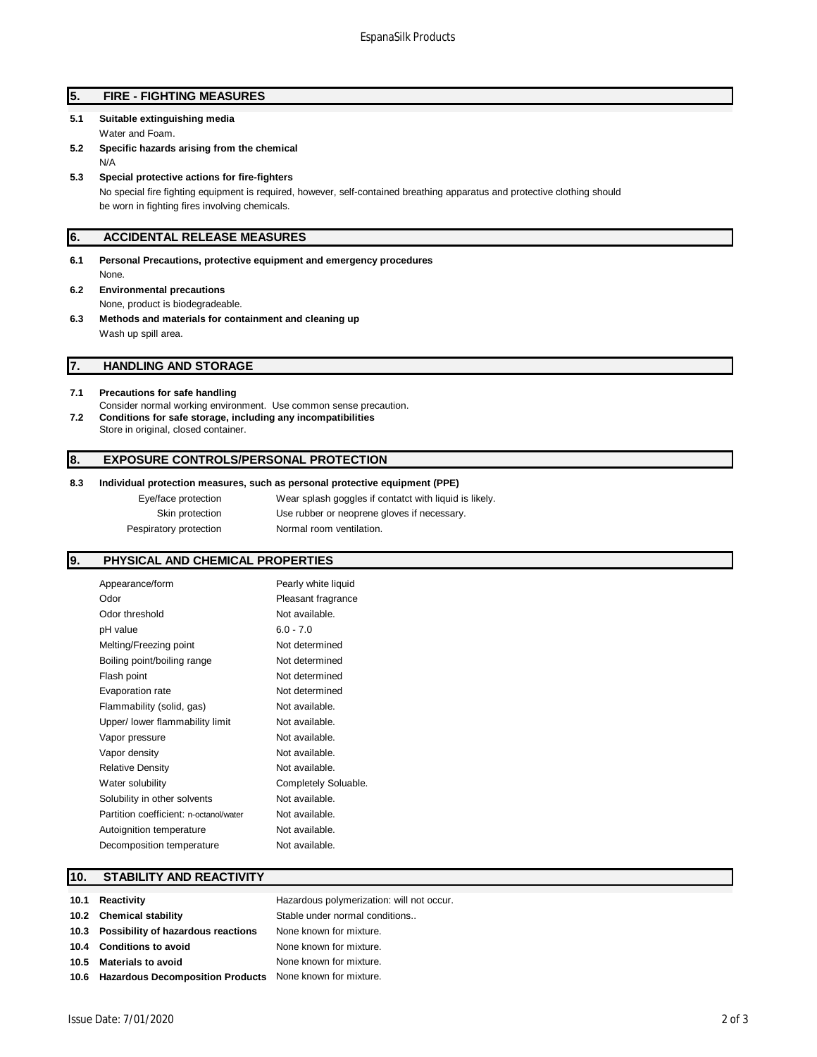## **5. FIRE - FIGHTING MEASURES**

- **5.1 Suitable extinguishing media**
	- Water and Foam.
- **5.2 Specific hazards arising from the chemical** N/A
- **5.3 Special protective actions for fire-fighters** No special fire fighting equipment is required, however, self-contained breathing apparatus and protective clothing should be worn in fighting fires involving chemicals.

## **6. ACCIDENTAL RELEASE MEASURES**

- **6.1 Personal Precautions, protective equipment and emergency procedures** None.
- **6.2 Environmental precautions** None, product is biodegradeable.
- **6.3 Methods and materials for containment and cleaning up** Wash up spill area.

## **7. HANDLING AND STORAGE**

#### **7.1 Precautions for safe handling**

Consider normal working environment. Use common sense precaution. **7.2 Conditions for safe storage, including any incompatibilities** Store in original, closed container.

### **8. EXPOSURE CONTROLS/PERSONAL PROTECTION**

### **8.3 Individual protection measures, such as personal protective equipment (PPE)**

| Eye/face protection    | Wear splash goggles if contatct with liquid is likely. |
|------------------------|--------------------------------------------------------|
| Skin protection        | Use rubber or neoprene gloves if necessary.            |
| Pespiratory protection | Normal room ventilation.                               |

## **9. PHYSICAL AND CHEMICAL PROPERTIES**

| Appearance/form                        | Pearly white liquid  |
|----------------------------------------|----------------------|
| Odor                                   | Pleasant fragrance   |
| Odor threshold                         | Not available.       |
| pH value                               | $6.0 - 7.0$          |
| Melting/Freezing point                 | Not determined       |
| Boiling point/boiling range            | Not determined       |
| Flash point                            | Not determined       |
| Evaporation rate                       | Not determined       |
| Flammability (solid, gas)              | Not available.       |
| Upper/ lower flammability limit        | Not available.       |
| Vapor pressure                         | Not available.       |
| Vapor density                          | Not available.       |
| <b>Relative Density</b>                | Not available.       |
| Water solubility                       | Completely Soluable. |
| Solubility in other solvents           | Not available.       |
| Partition coefficient: n-octanol/water | Not available.       |
| Autoignition temperature               | Not available.       |
| Decomposition temperature              | Not available.       |
|                                        |                      |

## **10. STABILITY AND REACTIVITY**

| 10.1 Reactivity                                               | Hazardous polymerization: will not occur. |
|---------------------------------------------------------------|-------------------------------------------|
| 10.2 Chemical stability                                       | Stable under normal conditions            |
| 10.3 Possibility of hazardous reactions                       | None known for mixture.                   |
| 10.4 Conditions to avoid                                      | None known for mixture.                   |
| 10.5 Materials to avoid                                       | None known for mixture.                   |
| 10.6 Hazardous Decomposition Products None known for mixture. |                                           |